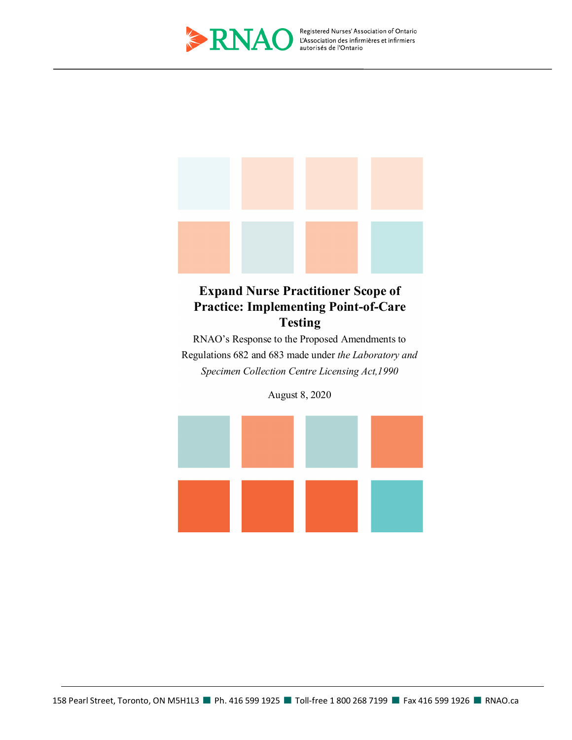

Registered Nurses' Association of Ontario



# **Expand Nurse Practitioner Scope of Practice: Implementing Point-of-Care Testing**

RNAO's Response to the Proposed Amendments to Regulations 682 and 683 made under *the Laboratory and Specimen Collection Centre Licensing Act,1990*

August 8, 2020

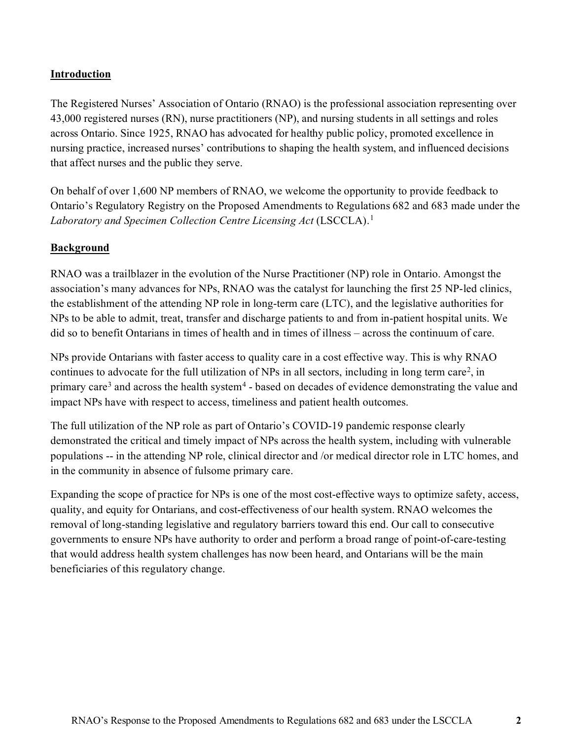### **Introduction**

The Registered Nurses' Association of Ontario (RNAO) is the professional association representing over 43,000 registered nurses (RN), nurse practitioners (NP), and nursing students in all settings and roles across Ontario. Since 1925, RNAO has advocated for healthy public policy, promoted excellence in nursing practice, increased nurses' contributions to shaping the health system, and influenced decisions that affect nurses and the public they serve.

On behalf of over 1,600 NP members of RNAO, we welcome the opportunity to provide feedback to Ontario's Regulatory Registry on the Proposed Amendments to Regulations 682 and 683 made under the Laboratory and Specimen Collection Centre Licensing Act (LSCCLA).<sup>[1](#page-5-0)</sup>

#### **Background**

RNAO was a trailblazer in the evolution of the Nurse Practitioner (NP) role in Ontario. Amongst the association's many advances for NPs, RNAO was the catalyst for launching the first 25 NP-led clinics, the establishment of the attending NP role in long-term care (LTC), and the legislative authorities for NPs to be able to admit, treat, transfer and discharge patients to and from in-patient hospital units. We did so to benefit Ontarians in times of health and in times of illness – across the continuum of care.

NPs provide Ontarians with faster access to quality care in a cost effective way. This is why RNAO continues to advocate for the full utilization of NPs in all sectors, including in long term care<sup>[2](#page-5-1)</sup>, in primary care<sup>[3](#page-5-2)</sup> and across the health system<sup>[4](#page-5-3)</sup> - based on decades of evidence demonstrating the value and impact NPs have with respect to access, timeliness and patient health outcomes.

The full utilization of the NP role as part of Ontario's COVID-19 pandemic response clearly demonstrated the critical and timely impact of NPs across the health system, including with vulnerable populations -- in the attending NP role, clinical director and /or medical director role in LTC homes, and in the community in absence of fulsome primary care.

Expanding the scope of practice for NPs is one of the most cost-effective ways to optimize safety, access, quality, and equity for Ontarians, and cost-effectiveness of our health system. RNAO welcomes the removal of long-standing legislative and regulatory barriers toward this end. Our call to consecutive governments to ensure NPs have authority to order and perform a broad range of point-of-care-testing that would address health system challenges has now been heard, and Ontarians will be the main beneficiaries of this regulatory change.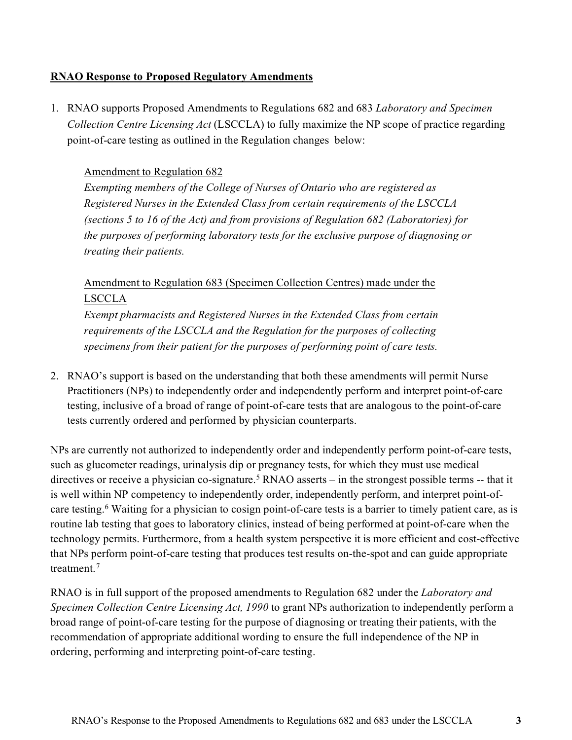#### **RNAO Response to Proposed Regulatory Amendments**

1. RNAO supports Proposed Amendments to Regulations 682 and 683 *Laboratory and Specimen Collection Centre Licensing Act* (LSCCLA) to fully maximize the NP scope of practice regarding point-of-care testing as outlined in the Regulation changes below:

#### Amendment to Regulation 682

*Exempting members of the College of Nurses of Ontario who are registered as Registered Nurses in the Extended Class from certain requirements of the LSCCLA (sections 5 to 16 of the Act) and from provisions of Regulation 682 (Laboratories) for the purposes of performing laboratory tests for the exclusive purpose of diagnosing or treating their patients.*

# Amendment to Regulation 683 (Specimen Collection Centres) made under the LSCCLA

*Exempt pharmacists and Registered Nurses in the Extended Class from certain requirements of the LSCCLA and the Regulation for the purposes of collecting specimens from their patient for the purposes of performing point of care tests.*

2. RNAO's support is based on the understanding that both these amendments will permit Nurse Practitioners (NPs) to independently order and independently perform and interpret point-of-care testing, inclusive of a broad of range of point-of-care tests that are analogous to the point-of-care tests currently ordered and performed by physician counterparts.

NPs are currently not authorized to independently order and independently perform point-of-care tests, such as glucometer readings, urinalysis dip or pregnancy tests, for which they must use medical directives or receive a physician co-signature.<sup>[5](#page-5-4)</sup> RNAO asserts – in the strongest possible terms -- that it is well within NP competency to independently order, independently perform, and interpret point-ofcare testing[.6](#page-5-5) Waiting for a physician to cosign point-of-care tests is a barrier to timely patient care, as is routine lab testing that goes to laboratory clinics, instead of being performed at point-of-care when the technology permits. Furthermore, from a health system perspective it is more efficient and cost-effective that NPs perform point-of-care testing that produces test results on-the-spot and can guide appropriate treatment. [7](#page-5-6)

RNAO is in full support of the proposed amendments to Regulation 682 under the *Laboratory and Specimen Collection Centre Licensing Act, 1990* to grant NPs authorization to independently perform a broad range of point-of-care testing for the purpose of diagnosing or treating their patients, with the recommendation of appropriate additional wording to ensure the full independence of the NP in ordering, performing and interpreting point-of-care testing.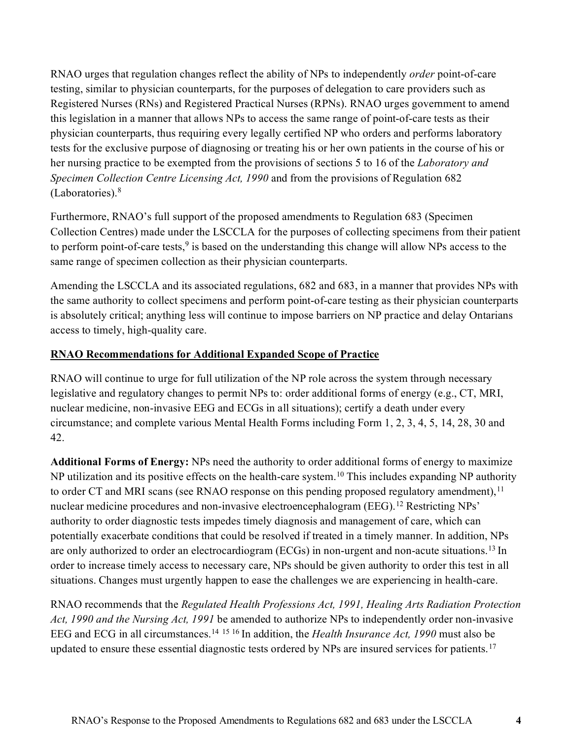RNAO urges that regulation changes reflect the ability of NPs to independently *order* point-of-care testing, similar to physician counterparts, for the purposes of delegation to care providers such as Registered Nurses (RNs) and Registered Practical Nurses (RPNs). RNAO urges government to amend this legislation in a manner that allows NPs to access the same range of point-of-care tests as their physician counterparts, thus requiring every legally certified NP who orders and performs laboratory tests for the exclusive purpose of diagnosing or treating his or her own patients in the course of his or her nursing practice to be exempted from the provisions of sections 5 to 16 of the *Laboratory and Specimen Collection Centre Licensing Act, 1990* and from the provisions of Regulation 682 (Laboratories).[8](#page-5-7)

Furthermore, RNAO's full support of the proposed amendments to Regulation 683 (Specimen Collection Centres) made under the LSCCLA for the purposes of collecting specimens from their patient to perform point-of-care tests, $9$  is based on the understanding this change will allow NPs access to the same range of specimen collection as their physician counterparts.

Amending the LSCCLA and its associated regulations, 682 and 683, in a manner that provides NPs with the same authority to collect specimens and perform point-of-care testing as their physician counterparts is absolutely critical; anything less will continue to impose barriers on NP practice and delay Ontarians access to timely, high-quality care.

# **RNAO Recommendations for Additional Expanded Scope of Practice**

RNAO will continue to urge for full utilization of the NP role across the system through necessary legislative and regulatory changes to permit NPs to: order additional forms of energy (e.g., CT, MRI, nuclear medicine, non-invasive EEG and ECGs in all situations); certify a death under every circumstance; and complete various Mental Health Forms including Form 1, 2, 3, 4, 5, 14, 28, 30 and 42.

**Additional Forms of Energy:** NPs need the authority to order additional forms of energy to maximize NP utilization and its positive effects on the health-care system.<sup>10</sup> This includes expanding NP authority to order CT and MRI scans (see RNAO response on this pending proposed regulatory amendment), <sup>[11](#page-5-10)</sup> nuclear medicine procedures and non-invasive electroencephalogram (EEG).<sup>[12](#page-5-11)</sup> Restricting NPs' authority to order diagnostic tests impedes timely diagnosis and management of care, which can potentially exacerbate conditions that could be resolved if treated in a timely manner. In addition, NPs are only authorized to order an electrocardiogram (ECGs) in non-urgent and non-acute situations.[13](#page-5-12) In order to increase timely access to necessary care, NPs should be given authority to order this test in all situations. Changes must urgently happen to ease the challenges we are experiencing in health-care.

RNAO recommends that the *Regulated Health Professions Act, 1991, Healing Arts Radiation Protection Act, 1990 and the Nursing Act, 1991* be amended to authorize NPs to independently order non-invasive EEG and ECG in all circumstances[.14](#page-5-13) [15](#page-5-14) [16](#page-5-15) In addition, the *Health Insurance Act, 1990* must also be updated to ensure these essential diagnostic tests ordered by NPs are insured services for patients.<sup>[17](#page-6-0)</sup>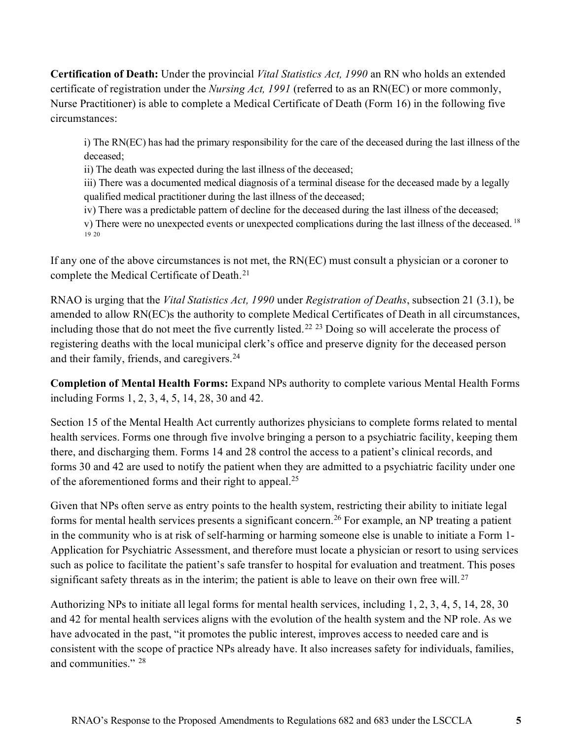**Certification of Death:** Under the provincial *Vital Statistics Act, 1990* an RN who holds an extended certificate of registration under the *Nursing Act, 1991* (referred to as an RN(EC) or more commonly, Nurse Practitioner) is able to complete a Medical Certificate of Death (Form 16) in the following five circumstances:

i) The RN(EC) has had the primary responsibility for the care of the deceased during the last illness of the deceased;

ii) The death was expected during the last illness of the deceased;

iii) There was a documented medical diagnosis of a terminal disease for the deceased made by a legally qualified medical practitioner during the last illness of the deceased;

iv) There was a predictable pattern of decline for the deceased during the last illness of the deceased;

v) There were no unexpected events or unexpected complications during the last illness of the deceased.  $^{18}$  $^{18}$  $^{18}$ [19](#page-6-2) [20](#page-6-3)

If any one of the above circumstances is not met, the RN(EC) must consult a physician or a coroner to complete the Medical Certificate of Death.<sup>[21](#page-6-4)</sup>

RNAO is urging that the *Vital Statistics Act, 1990* under *Registration of Deaths*, subsection 21 (3.1), be amended to allow RN(EC)s the authority to complete Medical Certificates of Death in all circumstances, including those that do not meet the five currently listed.<sup>[22](#page-6-5) [23](#page-6-6)</sup> Doing so will accelerate the process of registering deaths with the local municipal clerk's office and preserve dignity for the deceased person and their family, friends, and caregivers.<sup>[24](#page-6-7)</sup>

**Completion of Mental Health Forms:** Expand NPs authority to complete various Mental Health Forms including Forms 1, 2, 3, 4, 5, 14, 28, 30 and 42.

Section 15 of the Mental Health Act currently authorizes physicians to complete forms related to mental health services. Forms one through five involve bringing a person to a psychiatric facility, keeping them there, and discharging them. Forms 14 and 28 control the access to a patient's clinical records, and forms 30 and 42 are used to notify the patient when they are admitted to a psychiatric facility under one of the aforementioned forms and their right to appeal.[25](#page-6-8)

Given that NPs often serve as entry points to the health system, restricting their ability to initiate legal forms for mental health services presents a significant concern[.26](#page-6-9) For example, an NP treating a patient in the community who is at risk of self-harming or harming someone else is unable to initiate a Form 1- Application for Psychiatric Assessment, and therefore must locate a physician or resort to using services such as police to facilitate the patient's safe transfer to hospital for evaluation and treatment. This poses significant safety threats as in the interim; the patient is able to leave on their own free will.<sup>[27](#page-6-10)</sup>

Authorizing NPs to initiate all legal forms for mental health services, including 1, 2, 3, 4, 5, 14, 28, 30 and 42 for mental health services aligns with the evolution of the health system and the NP role. As we have advocated in the past, "it promotes the public interest, improves access to needed care and is consistent with the scope of practice NPs already have. It also increases safety for individuals, families, and communities." [28](#page-6-11)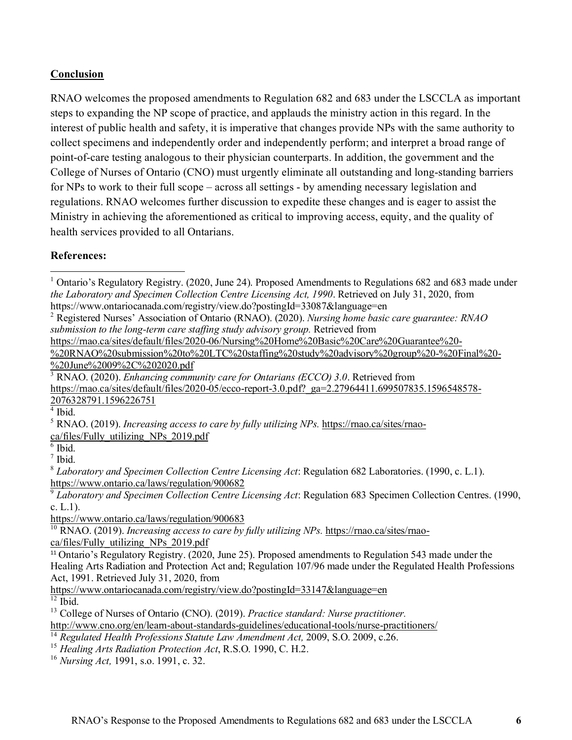## **Conclusion**

RNAO welcomes the proposed amendments to Regulation 682 and 683 under the LSCCLA as important steps to expanding the NP scope of practice, and applauds the ministry action in this regard. In the interest of public health and safety, it is imperative that changes provide NPs with the same authority to collect specimens and independently order and independently perform; and interpret a broad range of point-of-care testing analogous to their physician counterparts. In addition, the government and the College of Nurses of Ontario (CNO) must urgently eliminate all outstanding and long-standing barriers for NPs to work to their full scope – across all settings - by amending necessary legislation and regulations. RNAO welcomes further discussion to expedite these changes and is eager to assist the Ministry in achieving the aforementioned as critical to improving access, equity, and the quality of health services provided to all Ontarians.

#### **References:**

[https://rnao.ca/sites/default/files/2020-06/Nursing%20Home%20Basic%20Care%20Guarantee%20-](https://rnao.ca/sites/default/files/2020-06/Nursing%20Home%20Basic%20Care%20Guarantee%20-%20RNAO%20submission%20to%20LTC%20staffing%20study%20advisory%20group%20-%20Final%20-%20June%2009%2C%202020.pdf)

[%20RNAO%20submission%20to%20LTC%20staffing%20study%20advisory%20group%20-%20Final%20-](https://rnao.ca/sites/default/files/2020-06/Nursing%20Home%20Basic%20Care%20Guarantee%20-%20RNAO%20submission%20to%20LTC%20staffing%20study%20advisory%20group%20-%20Final%20-%20June%2009%2C%202020.pdf) [%20June%2009%2C%202020.pdf](https://rnao.ca/sites/default/files/2020-06/Nursing%20Home%20Basic%20Care%20Guarantee%20-%20RNAO%20submission%20to%20LTC%20staffing%20study%20advisory%20group%20-%20Final%20-%20June%2009%2C%202020.pdf)

<span id="page-5-2"></span><sup>3</sup> RNAO. (2020). *Enhancing community care for Ontarians (ECCO) 3.0*. Retrieved from https://mao.ca/sites/default/files/2020-05/ecco-report-3.0.pdf?\_ga=2.27964411.699507835.1596548578-[2076328791.1596226751](https://rnao.ca/sites/default/files/2020-05/ecco-report-3.0.pdf?_ga=2.27964411.699507835.1596548578-2076328791.1596226751)

<span id="page-5-3"></span><sup>4</sup> Ibid.

<span id="page-5-4"></span><sup>5</sup> RNAO. (2019). *Increasing access to care by fully utilizing NPs.* [https://rnao.ca/sites/rnao](https://rnao.ca/sites/rnao-ca/files/Fully_utilizing_NPs_2019.pdf)[ca/files/Fully\\_utilizing\\_NPs\\_2019.pdf](https://rnao.ca/sites/rnao-ca/files/Fully_utilizing_NPs_2019.pdf)

<span id="page-5-5"></span> $6$  Ibid.

<span id="page-5-6"></span><sup>7</sup> Ibid.

<span id="page-5-8"></span><sup>9</sup> *Laboratory and Specimen Collection Centre Licensing Act*: Regulation 683 Specimen Collection Centres. (1990, c. L.1).

<https://www.ontario.ca/laws/regulation/900683>

<span id="page-5-9"></span><sup>10</sup> RNAO. (2019). *Increasing access to care by fully utilizing NPs.* [https://rnao.ca/sites/rnao](https://rnao.ca/sites/rnao-ca/files/Fully_utilizing_NPs_2019.pdf)[ca/files/Fully\\_utilizing\\_NPs\\_2019.pdf](https://rnao.ca/sites/rnao-ca/files/Fully_utilizing_NPs_2019.pdf)

<span id="page-5-10"></span><sup>11</sup> Ontario's Regulatory Registry. (2020, June 25). Proposed amendments to Regulation 543 made under the Healing Arts Radiation and Protection Act and; Regulation 107/96 made under the Regulated Health Professions Act, 1991. Retrieved July 31, 2020, from

<https://www.ontariocanada.com/registry/view.do?postingId=33147&language=en>  $12$  Ibid.

<span id="page-5-12"></span><span id="page-5-11"></span><sup>13</sup> College of Nurses of Ontario (CNO). (2019). *Practice standard: Nurse practitioner.*

```
http://www.cno.org/en/learn-about-standards-guidelines/educational-tools/nurse-practitioners/
```
<span id="page-5-13"></span><sup>14</sup> Regulated Health Professions Statute Law Amendment Act, 2009, S.O. 2009, c.26.

<span id="page-5-14"></span><sup>15</sup> *Healing Arts Radiation Protection Act*, R.S.O. 1990, C. H.2.

<span id="page-5-15"></span><sup>16</sup> *Nursing Act,* 1991, s.o. 1991, c. 32.

<span id="page-5-0"></span><sup>&</sup>lt;sup>1</sup> Ontario's Regulatory Registry. (2020, June 24). Proposed Amendments to Regulations 682 and 683 made under *the Laboratory and Specimen Collection Centre Licensing Act, 1990*. Retrieved on July 31, 2020, from https://www.ontariocanada.com/registry/view.do?postingId=33087&language=en

<span id="page-5-1"></span><sup>2</sup> Registered Nurses' Association of Ontario (RNAO). (2020). *Nursing home basic care guarantee: RNAO submission to the long-term care staffing study advisory group.* Retrieved from

<span id="page-5-7"></span><sup>8</sup> *Laboratory and Specimen Collection Centre Licensing Act*: Regulation 682 Laboratories. (1990, c. L.1). <https://www.ontario.ca/laws/regulation/900682>